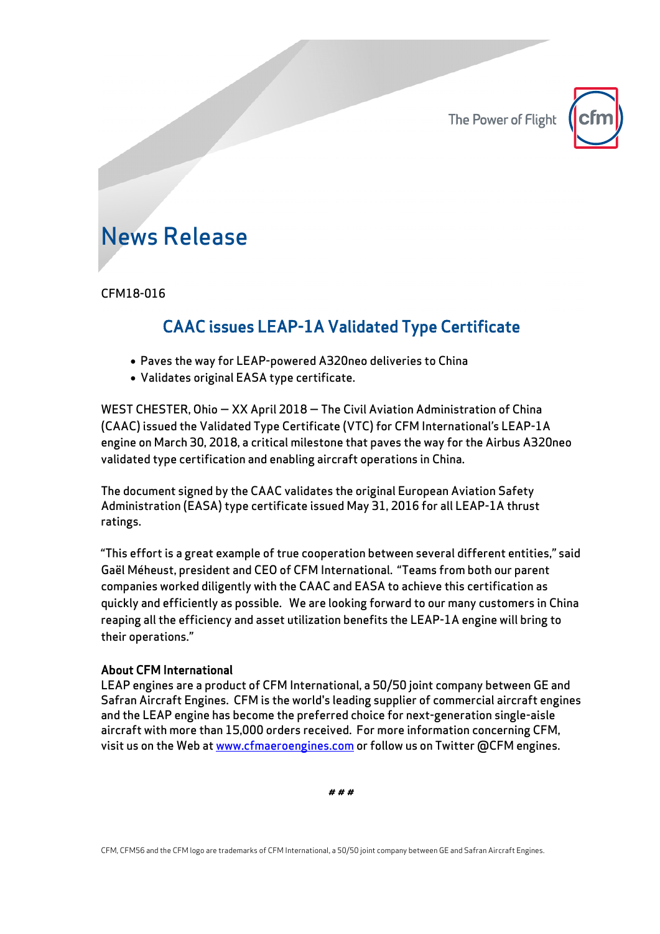The Power of Flight



## News Release

CFM18-016

## CAAC issues LEAP-1A Validated Type Certificate

- Paves the way for LEAP-powered A320neo deliveries to China
- Validates original EASA type certificate.

WEST CHESTER, Ohio — XX April 2018 — The Civil Aviation Administration of China (CAAC) issued the Validated Type Certificate (VTC) for CFM International's LEAP-1A engine on March 30, 2018, a critical milestone that paves the way for the Airbus A320neo validated type certification and enabling aircraft operations in China.

The document signed by the CAAC validates the original European Aviation Safety Administration (EASA) type certificate issued May 31, 2016 for all LEAP-1A thrust ratings.

"This effort is a great example of true cooperation between several different entities," said Gaël Méheust, president and CEO of CFM International. "Teams from both our parent companies worked diligently with the CAAC and EASA to achieve this certification as quickly and efficiently as possible. We are looking forward to our many customers in China reaping all the efficiency and asset utilization benefits the LEAP-1A engine will bring to their operations."

## About CFM International

LEAP engines are a product of CFM International, a 50/50 joint company between GE and Safran Aircraft Engines. CFM is the world's leading supplier of commercial aircraft engines and the LEAP engine has become the preferred choice for next-generation single-aisle aircraft with more than 15,000 orders received. For more information concerning CFM, visit us on the Web at www.cfmaeroengines.com or follow us on Twitter @CFM engines.

# # #